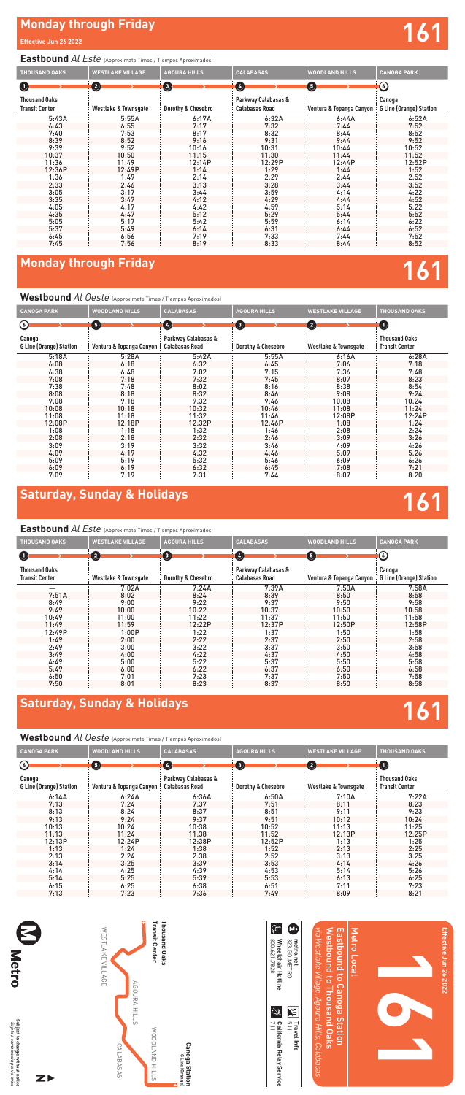# **Saturday, Sunday & Holidays 161**

## **Saturday, Sunday & Holidays 161**

#### **Eastbound** *Al Este* (Approximate Times / Tiempos Aproximados)

### **Westbound** *Al Oeste* (Approximate Times / Tiempos Aproximados)

# **Monday through Friday and Security Conduct of the Security Conduct of the Security Conduct of the Security Conduct of the Security Conduct of the Security Conduct of the Security Conduct of the Security Conduct of the Sec**

### **Eastbound** *Al Este* (Approximate Times / Tiempos Aproximados)

| <b>THOUSAND OAKS</b>                          | <b>WESTLAKE VILLAGE</b>         | <b>AGOURA HILLS</b>      | <b>CALABASAS</b>                             | <b>WOODLAND HILLS</b>    | <b>CANOGA PARK</b>                       |
|-----------------------------------------------|---------------------------------|--------------------------|----------------------------------------------|--------------------------|------------------------------------------|
| 0.                                            | $\left( 2\right)$               | $\left( \bullet \right)$ | $\left( 4\right)$                            | $\sqrt{5}$               | $(\omega)$                               |
| <b>Thousand Oaks</b><br><b>Transit Center</b> | <b>Westlake &amp; Townsgate</b> | Dorothy & Chesebro       | Parkway Calabasas &<br><b>Calabasas Road</b> | Ventura & Topanga Canyon | Canoga<br><b>G Line (Orange) Station</b> |
|                                               | 7:02A                           | 7:24A                    | 7:39A                                        | 7:50A                    | 7:58A                                    |
| 7:51A                                         | 8:02                            | 8:24                     | 8:39                                         | 8:50                     | 8:58                                     |
| 8:49                                          | 9:00                            | 9:22                     | 9:37                                         | 9:50                     | 9:58                                     |
| 9:49                                          | 10:00                           | 10:22                    | 10:37                                        | 10:50                    | 10:58                                    |
| 10:49                                         | 11:00                           | 11:22                    | 11:37                                        | 11:50                    | 11:58                                    |
| 11:49                                         | 11:59                           | 12:22P                   | 12:37P                                       | 12:50P                   | 12:58P                                   |
| 12:49P                                        | 1:00P                           | 1:22                     | 1:37                                         | 1:50                     | 1:58                                     |
| 1:49                                          | 2:00                            | 2:22                     | 2:37                                         | 2:50                     | 2:58                                     |
| 2:49                                          | 3:00                            | 3:22                     | 3:37                                         | 3:50                     | 3:58                                     |
| 3:49                                          | 4:00                            | 4:22                     | 4:37                                         | 4:50                     | 4:58                                     |
| 4:49                                          | 5:00                            | 5:22                     | 5:37                                         | 5:50                     | 5:58                                     |
| 5:49                                          | 6:00                            | 6:22                     | 6:37                                         | 6:50                     | 6:58                                     |
| 6:50                                          | 7:01                            | 7:23                     | 7:37                                         | 7:50                     | 7:58                                     |
| 7:50                                          | 8:01                            | 8:23                     | 8:37                                         | 8:50                     | 8:58                                     |

| <b>TTCOLDOMITM</b> At OCOIC (Approximate rimes / Hempos Aproximados) |                          |                                              |                       |                                 |                                               |
|----------------------------------------------------------------------|--------------------------|----------------------------------------------|-----------------------|---------------------------------|-----------------------------------------------|
| <b>CANOGA PARK</b>                                                   | <b>WOODLAND HILLS</b>    | <b>CALABASAS</b>                             | <b>AGOURA HILLS</b>   | <b>WESTLAKE VILLAGE</b>         | <b>THOUSAND OAKS</b>                          |
| ⊙                                                                    | 6                        | Ø                                            | $\boldsymbol{\Theta}$ | $\mathbf{2}$                    | $\mathbf 0$                                   |
| Canoga<br><b>G Line (Orange) Station</b>                             | Ventura & Topanga Canyon | Parkway Calabasas &<br><b>Calabasas Road</b> | Dorothy & Chesebro    | <b>Westlake &amp; Townsgate</b> | <b>Thousand Oaks</b><br><b>Transit Center</b> |
| 6:14A                                                                | 6:24A                    | 6:36A                                        | 6:50A                 | 7:10A                           | 7:22A                                         |
| 7:13                                                                 | 7:24                     | 7:37                                         | 7:51                  | 8:11                            | 8:23                                          |
| 8:13                                                                 | 8:24                     | 8:37                                         | 8:51                  | 9:11                            | 9:23                                          |
| 9:13                                                                 | 9:24                     | 9:37                                         | 9:51                  | 10:12                           | 10:24                                         |
| 10:13                                                                | 10:24                    | 10:38                                        | 10:52                 | 11:13                           | 11:25                                         |
| 11:13                                                                | 11:24                    | 11:38                                        | 11:52                 | 12:13P                          | 12:25P                                        |
| 12:13P                                                               | 12:24P                   | 12:38P                                       | 12:52P                | 1:13                            | 1:25                                          |
| 1:13                                                                 | 1:24                     | 1:38                                         | 1:52                  | 2:13                            | 2:25                                          |
| 2:13                                                                 | 2:24                     | 2:38                                         | 2:52                  | 3:13                            | 3:25                                          |
| 3:14                                                                 | 3:25                     | 3:39                                         | 3:53                  | 4:14                            | 4:26                                          |
| 4:14                                                                 | 4:25                     | 4:39                                         | 4:53                  | 5:14                            | 5:26                                          |
| 5:14                                                                 | 5:25                     | 5:39                                         | 5:53                  | 6:13                            | 6:25                                          |
| 6:15                                                                 | 6:25                     | 6:38                                         | 6:51                  | 7:11                            | 7:23                                          |
| 7:13                                                                 | 7:23                     | 7:36                                         | 7:49                  | 8:09                            | 8:21                                          |

| <b>THOUSAND OAKS</b>                          | <b>WESTLAKE VILLAGE</b>         | <b>AGOURA HILLS</b>           | <b>CALABASAS</b>                             | <b>WOODLAND HILLS</b>    | <b>CANOGA PARK</b>                       |
|-----------------------------------------------|---------------------------------|-------------------------------|----------------------------------------------|--------------------------|------------------------------------------|
| (2)<br>$\bf \bm \Theta$                       |                                 | $\bullet$                     | O                                            | 6                        | (6)                                      |
| <b>Thousand Oaks</b><br><b>Transit Center</b> | <b>Westlake &amp; Townsgate</b> | <b>Dorothy &amp; Chesebro</b> | Parkway Calabasas &<br><b>Calabasas Road</b> | Ventura & Topanga Canyon | Canoga<br><b>G Line (Orange) Station</b> |
| 5:43A                                         | 5:55A                           | 6:17A                         | 6:32A                                        | 6:44A                    | 6:52A                                    |
| 6:43                                          | 6:55                            | 7:17                          | 7:32                                         | 7:44                     | 7:52                                     |
| 7:40                                          | 7:53                            | 8:17                          | 8:32                                         | 8:44                     | 8:52                                     |
| 8:39                                          | 8:52                            | 9:16                          | 9:31                                         | 9:44                     | 9:52                                     |
| 9:39                                          | 9:52                            | 10:16                         | 10:31                                        | 10:44                    | 10:52                                    |
| 10:37                                         | 10:50                           | 11:15                         | 11:30                                        | 11:44                    | 11:52                                    |
| 11:36                                         | 11:49                           | 12:14P                        | 12:29P                                       | 12:44P                   | 12:52P                                   |
| 12:36P                                        | 12:49P                          | 1:14                          | 1:29                                         | 1:44                     | 1:52                                     |
| 1:36                                          | 1:49                            | 2:14                          | 2:29                                         | 2:44                     | 2:52                                     |
| 2:33                                          | 2:46                            | 3:13                          | 3:28                                         | 3:44                     | 3:52                                     |
| 3:05                                          | 3:17                            | 3:44                          | 3:59                                         | 4:14                     | 4:22                                     |
| 3:35                                          | 3:47                            | 4:12                          | 4:29                                         | 4:44                     | 4:52                                     |
| 4:05                                          | 4:17                            | 4:42                          | 4:59                                         | 5:14                     | 5:22                                     |
| 4:35                                          | 4:47                            | 5:12                          | 5:29                                         | 5:44                     | 5:52                                     |
| 5:05                                          | 5:17                            | 5:42                          | 5:59                                         | 6:14                     | 6:22                                     |
| 5:37                                          | 5:49                            | 6:14                          | 6:31                                         | 6:44                     | 6:52                                     |
| 6:45                                          | 6:56                            | 7:19                          | 7:33                                         | 7:44                     | 7:52                                     |
| 7:45                                          | 7:56                            | 8:19                          | 8:33                                         | 8:44                     | 8:52                                     |

## **Monday through Friday 161**

#### **Westbound** *Al Oeste* (Approximate Times / Tiempos Aproximados)

| <b>CANOGA PARK</b>                       | <b>WOODLAND HILLS</b>    | <b>CALABASAS</b>                             | <b>AGOURA HILLS</b>   | <b>WESTLAKE VILLAGE</b> | <b>THOUSAND OAKS</b>                          |
|------------------------------------------|--------------------------|----------------------------------------------|-----------------------|-------------------------|-----------------------------------------------|
| $\odot$                                  | Θ                        | $\left( 4\right)$                            | $\boldsymbol{\Theta}$ | 0                       | $\bf \bm \Theta$                              |
| Canoga<br><b>G Line (Orange) Station</b> | Ventura & Topanga Canyon | Parkway Calabasas &<br><b>Calabasas Road</b> | Dorothy & Chesebro    | Westlake & Townsgate    | <b>Thousand Oaks</b><br><b>Transit Center</b> |
| 5:18A                                    | 5:28A                    | 5:42A                                        | 5:55A                 | 6:16A                   | 6:28A                                         |
| 6:08                                     | 6:18                     | 6:32                                         | 6:45                  | 7:06                    | 7:18                                          |
| 6:38                                     | 6:48                     | 7:02                                         | 7:15                  | 7:36                    | 7:48                                          |
| 7:08                                     | 7:18                     | 7:32                                         | 7:45                  | 8:07                    | 8:23                                          |
| 7:38                                     | 7:48                     | 8:02                                         | 8:16                  | 8:38                    | 8:54                                          |
| 8:08                                     | 8:18                     | 8:32                                         | 8:46                  | 9:08                    | 9:24                                          |
| 9:08                                     | 9:18                     | 9:32                                         | 9:46                  | 10:08                   | 10:24                                         |
| 10:08                                    | 10:18                    | 10:32                                        | 10:46                 | 11:08                   | 11:24                                         |
| 11:08                                    | 11:18                    | 11:32                                        | 11:46                 | 12:08P                  | 12:24P                                        |
| 12:08P                                   | 12:18P                   | 12:32P                                       | 12:46P                | 1:08                    | 1:24                                          |
| 1:08                                     | 1:18                     | 1:32                                         | 1:46                  | 2:08                    | 2:24                                          |
| 2:08                                     | 2:18                     | 2:32                                         | 2:46                  | 3:09                    | 3:26                                          |
| 3:09                                     | 3:19                     | 3:32                                         | 3:46                  | 4:09                    | 4:26                                          |
| 4:09                                     | 4:19                     | 4:32                                         | 4:46                  | 5:09                    | 5:26                                          |
| 5:09                                     | 5:19                     | 5:32                                         | 5:46                  | 6:09                    | 6:26                                          |
| 6:09                                     | 6:19                     | 6:32                                         | 6:45                  | 7:08                    | 7:21                                          |
| 7:09                                     | 7:19                     | 7:31                                         | 7:44                  | 8:07                    | 8:20                                          |

| "leto a      | 7      |
|--------------|--------|
|              | Ã      |
|              | ô      |
| ÷            | ≍      |
|              | 긃      |
|              |        |
|              | a      |
|              |        |
| nbios sir    |        |
| Ξ            | withou |
|              |        |
|              |        |
| <b>CEVIO</b> | ٠,     |
|              |        |
|              |        |
| aviso        | notice |

 $Z$